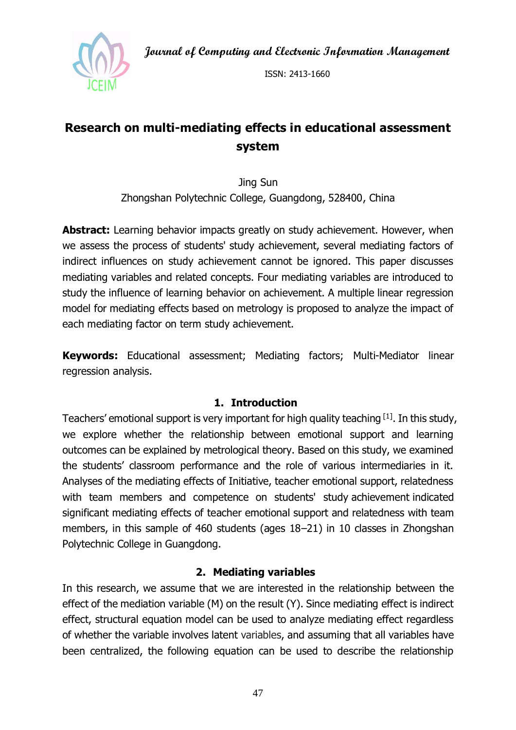**Journal of Computing and Electronic Information Management**



ISSN: 2413-1660

# **Research on multi-mediating effects in educational assessment system**

Jing Sun Zhongshan Polytechnic College, Guangdong, 528400, China

**Abstract:** Learning behavior impacts greatly on study achievement. However, when we assess the process of students' study achievement, several mediating factors of indirect influences on study achievement cannot be ignored. This paper discusses mediating variables and related concepts. Four mediating variables are introduced to study the influence of learning behavior on achievement. A multiple linear regression model for mediating effects based on metrology is proposed to analyze the impact of each mediating factor on term study achievement.

**Keywords:** Educational assessment; Mediating factors; Multi-Mediator linear regression analysis.

#### **1. Introduction**

Teachers' emotional support is very important for high quality teaching [1]. In this study, we explore whether the relationship between emotional support and learning outcomes can be explained by metrological theory. Based on this study, we examined the students' classroom performance and the role of various intermediaries in it. Analyses of the mediating effects of Initiative, teacher emotional support, relatedness with team members and competence on students' [study](javascript:;) [achievement](javascript:;) indicated significant mediating effects of teacher emotional support and relatedness with team members, in this sample of 460 students (ages 18–21) in 10 classes in Zhongshan Polytechnic College in Guangdong.

## **2. Mediating variables**

In this research, we assume that we are interested in the relationship between the effect of the mediation variable (M) on the result (Y). Since mediating effect is indirect effect, structural equation model can be used to analyze mediating effect regardless of whether the variable involves latent variables, and assuming that all variables have been centralized, the following equation can be used to describe the relationship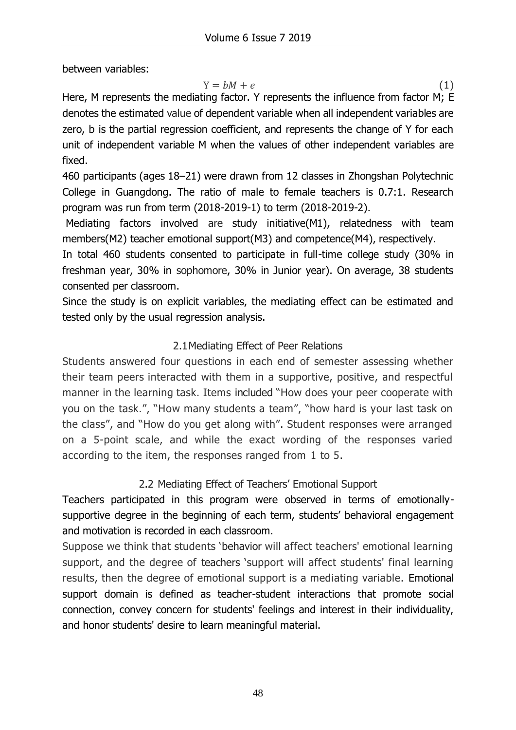between variables:

 $Y = bM + e$  (1)

Here, M represents the mediating factor. Y represents the influence from factor M; E denotes the estimated value of dependent variable when all independent variables are zero, b is the partial regression coefficient, and represents the change of Y for each unit of independent variable M when the values of other independent variables are fixed.

460 participants (ages 18–21) were drawn from 12 classes in Zhongshan Polytechnic College in Guangdong. The ratio of male to female teachers is 0.7:1. Research program was run from term (2018-2019-1) to term (2018-2019-2).

Mediating factors involved are study initiative(M1), relatedness with team members(M2) teacher emotional support(M3) and competence(M4), respectively.

In total 460 students consented to participate in full-time college study (30% in freshman year, 30% in sophomore, 30% in Junior year). On average, 38 students consented per classroom.

Since the study is on explicit variables, the mediating effect can be estimated and tested only by the usual regression analysis.

# 2.1Mediating Effect of Peer Relations

Students answered four questions in each end of semester assessing whether their team peers interacted with them in a supportive, positive, and respectful manner in the learning task. Items included "How does your peer cooperate with you on the task.", "How many students a team", "how hard is your last task on the class", and "How do you get along with". Student responses were arranged on a 5-point scale, and while the exact wording of the responses varied according to the item, the responses ranged from 1 to 5.

# 2.2 Mediating Effect of Teachers' Emotional Support

Teachers participated in this program were observed in terms of emotionallysupportive degree in the beginning of each term, students' behavioral engagement and motivation is recorded in each classroom.

Suppose we think that students 'behavior will affect teachers' emotional learning support, and the degree of teachers 'support will affect students' final learning results, then the degree of emotional support is a mediating variable. Emotional support domain is defined as teacher-student interactions that promote social connection, convey concern for students' feelings and interest in their individuality, and honor students' desire to learn meaningful material.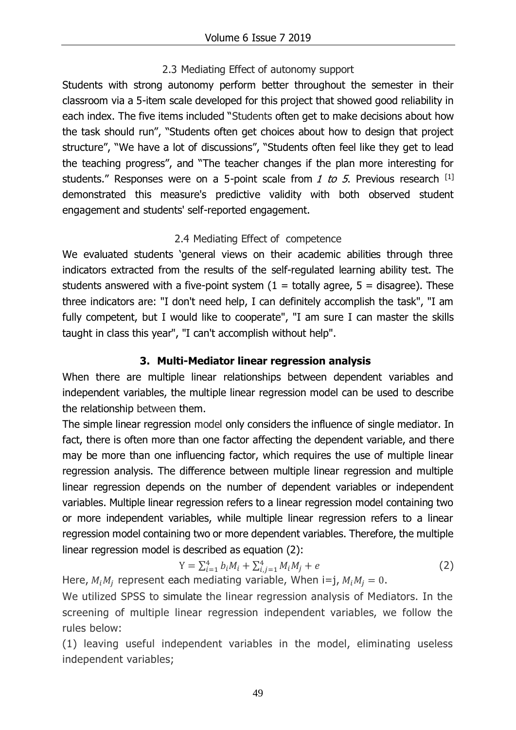## 2.3 Mediating Effect of autonomy support

Students with strong autonomy perform better throughout the semester in their classroom via a 5-item scale developed for this project that showed good reliability in each index. The five items included "Students often get to make decisions about how the task should run", "Students often get choices about how to design that project structure", "We have a lot of discussions", "Students often feel like they get to lead the teaching progress", and "The teacher changes if the plan more interesting for students." Responses were on a 5-point scale from 1 to 5. Previous research  $[1]$ demonstrated this measure's predictive validity with both observed student engagement and students' self-reported engagement.

#### 2.4 Mediating Effect of competence

We evaluated students 'general views on their academic abilities through three indicators extracted from the results of the self-regulated learning ability test. The students answered with a five-point system  $(1 =$  totally agree, 5 = disagree). These three indicators are: "I don't need help, I can definitely accomplish the task", "I am fully competent, but I would like to cooperate", "I am sure I can master the skills taught in class this year", "I can't accomplish without help".

## **3. Multi-Mediator linear regression analysis**

When there are multiple linear relationships between dependent variables and independent variables, the multiple linear regression model can be used to describe the relationship between them.

The simple linear regression model only considers the influence of single mediator. In fact, there is often more than one factor affecting the dependent variable, and there may be more than one influencing factor, which requires the use of multiple linear regression analysis. The difference between multiple linear regression and multiple linear regression depends on the number of dependent variables or independent variables. Multiple linear regression refers to a linear regression model containing two or more independent variables, while multiple linear regression refers to a linear regression model containing two or more dependent variables. Therefore, the multiple linear regression model is described as equation (2):

$$
Y = \sum_{i=1}^{4} b_i M_i + \sum_{i,j=1}^{4} M_i M_j + e
$$
 (2)

Here,  $M_iM_j$  represent each mediating variable, When i=j,  $M_iM_j = 0.$ 

We utilized SPSS to simulate the linear regression analysis of Mediators. In the screening of multiple linear regression independent variables, we follow the rules below:

(1) leaving useful independent variables in the model, eliminating useless independent variables;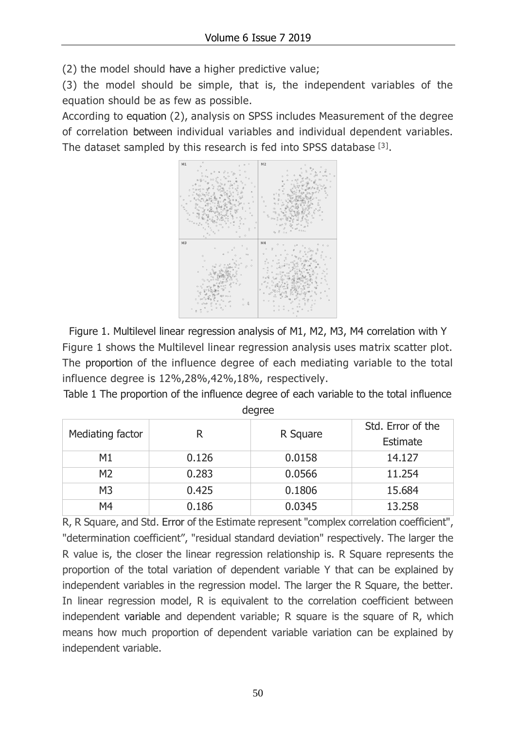(2) the model should have a higher predictive value;

(3) the model should be simple, that is, the independent variables of the equation should be as few as possible.

According to equation (2), analysis on SPSS includes Measurement of the degree of correlation between individual variables and individual dependent variables. The dataset sampled by this research is fed into SPSS database [3].



Figure 1. Multilevel linear regression analysis of M1, M2, M3, M4 correlation with Y Figure 1 shows the Multilevel linear regression analysis uses matrix scatter plot. The proportion of the influence degree of each mediating variable to the total influence degree is 12%,28%,42%,18%, respectively.

Table 1 The proportion of the influence degree of each variable to the total influence degree

| Mediating factor | R     | R Square | Std. Error of the<br>Estimate |
|------------------|-------|----------|-------------------------------|
| M1               | 0.126 | 0.0158   | 14.127                        |
| M <sub>2</sub>   | 0.283 | 0.0566   | 11.254                        |
| M <sub>3</sub>   | 0.425 | 0.1806   | 15.684                        |
| M4               | 0.186 | 0.0345   | 13,258                        |

R, R Square, and Std. Error of the Estimate represent "complex correlation coefficient", "determination coefficient", "residual standard deviation" respectively. The larger the R value is, the closer the linear regression relationship is. R Square represents the proportion of the total variation of dependent variable Y that can be explained by independent variables in the regression model. The larger the R Square, the better. In linear regression model, R is equivalent to the correlation coefficient between independent variable and dependent variable; R square is the square of R, which means how much proportion of dependent variable variation can be explained by independent variable.